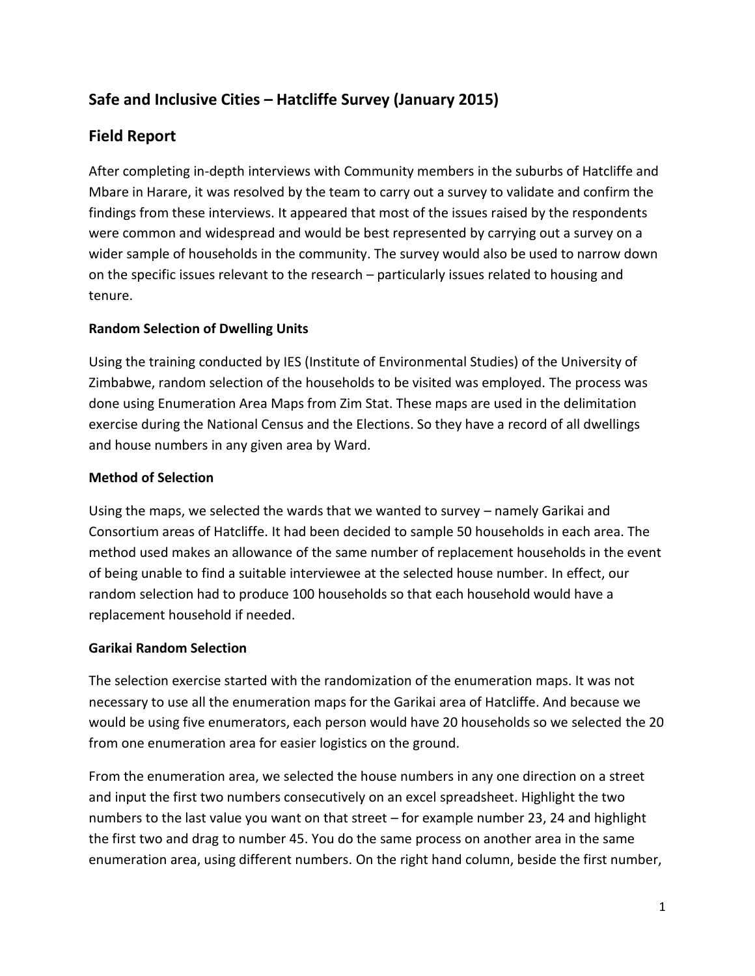# **Safe and Inclusive Cities – Hatcliffe Survey (January 2015)**

### **Field Report**

After completing in-depth interviews with Community members in the suburbs of Hatcliffe and Mbare in Harare, it was resolved by the team to carry out a survey to validate and confirm the findings from these interviews. It appeared that most of the issues raised by the respondents were common and widespread and would be best represented by carrying out a survey on a wider sample of households in the community. The survey would also be used to narrow down on the specific issues relevant to the research – particularly issues related to housing and tenure.

#### **Random Selection of Dwelling Units**

Using the training conducted by IES (Institute of Environmental Studies) of the University of Zimbabwe, random selection of the households to be visited was employed. The process was done using Enumeration Area Maps from Zim Stat. These maps are used in the delimitation exercise during the National Census and the Elections. So they have a record of all dwellings and house numbers in any given area by Ward.

#### **Method of Selection**

Using the maps, we selected the wards that we wanted to survey – namely Garikai and Consortium areas of Hatcliffe. It had been decided to sample 50 households in each area. The method used makes an allowance of the same number of replacement households in the event of being unable to find a suitable interviewee at the selected house number. In effect, our random selection had to produce 100 households so that each household would have a replacement household if needed.

#### **Garikai Random Selection**

The selection exercise started with the randomization of the enumeration maps. It was not necessary to use all the enumeration maps for the Garikai area of Hatcliffe. And because we would be using five enumerators, each person would have 20 households so we selected the 20 from one enumeration area for easier logistics on the ground.

From the enumeration area, we selected the house numbers in any one direction on a street and input the first two numbers consecutively on an excel spreadsheet. Highlight the two numbers to the last value you want on that street – for example number 23, 24 and highlight the first two and drag to number 45. You do the same process on another area in the same enumeration area, using different numbers. On the right hand column, beside the first number,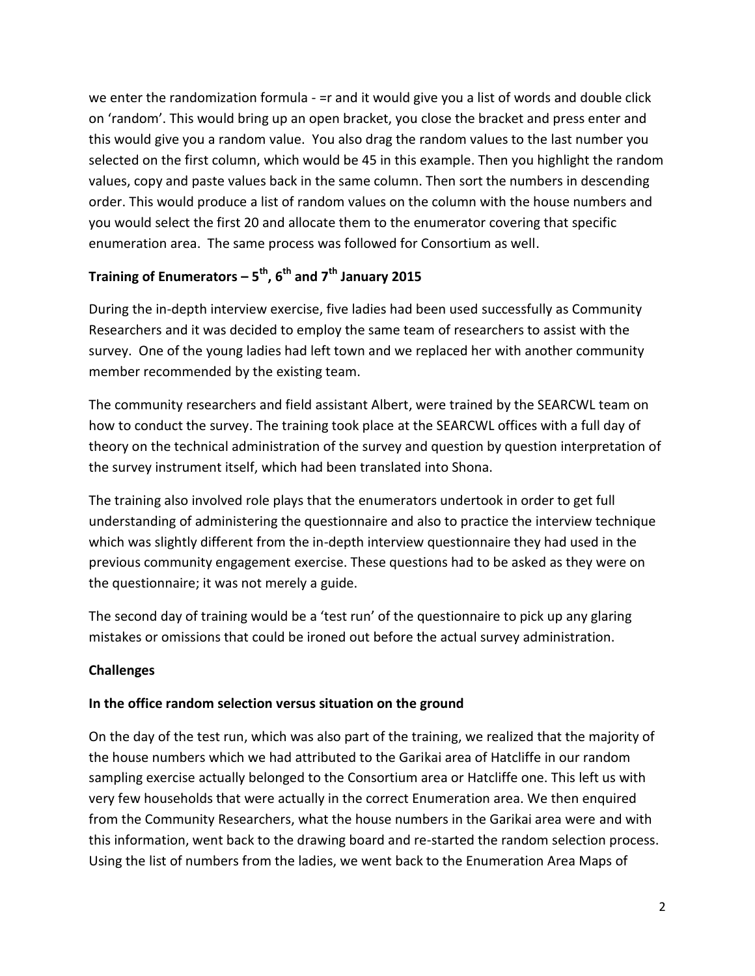we enter the randomization formula - = r and it would give you a list of words and double click on 'random'. This would bring up an open bracket, you close the bracket and press enter and this would give you a random value. You also drag the random values to the last number you selected on the first column, which would be 45 in this example. Then you highlight the random values, copy and paste values back in the same column. Then sort the numbers in descending order. This would produce a list of random values on the column with the house numbers and you would select the first 20 and allocate them to the enumerator covering that specific enumeration area. The same process was followed for Consortium as well.

### **Training of Enumerators – 5 th, 6th and 7th January 2015**

During the in-depth interview exercise, five ladies had been used successfully as Community Researchers and it was decided to employ the same team of researchers to assist with the survey. One of the young ladies had left town and we replaced her with another community member recommended by the existing team.

The community researchers and field assistant Albert, were trained by the SEARCWL team on how to conduct the survey. The training took place at the SEARCWL offices with a full day of theory on the technical administration of the survey and question by question interpretation of the survey instrument itself, which had been translated into Shona.

The training also involved role plays that the enumerators undertook in order to get full understanding of administering the questionnaire and also to practice the interview technique which was slightly different from the in-depth interview questionnaire they had used in the previous community engagement exercise. These questions had to be asked as they were on the questionnaire; it was not merely a guide.

The second day of training would be a 'test run' of the questionnaire to pick up any glaring mistakes or omissions that could be ironed out before the actual survey administration.

### **Challenges**

#### **In the office random selection versus situation on the ground**

On the day of the test run, which was also part of the training, we realized that the majority of the house numbers which we had attributed to the Garikai area of Hatcliffe in our random sampling exercise actually belonged to the Consortium area or Hatcliffe one. This left us with very few households that were actually in the correct Enumeration area. We then enquired from the Community Researchers, what the house numbers in the Garikai area were and with this information, went back to the drawing board and re-started the random selection process. Using the list of numbers from the ladies, we went back to the Enumeration Area Maps of